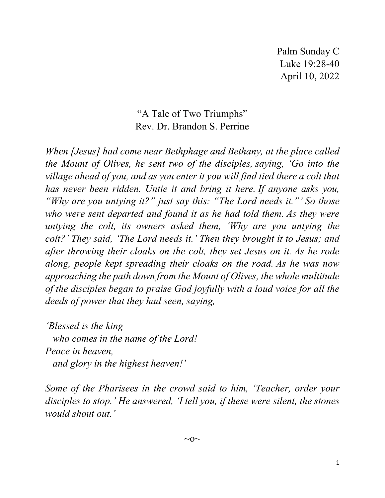Palm Sunday C Luke 19:28-40 April 10, 2022

## "A Tale of Two Triumphs" Rev. Dr. Brandon S. Perrine

*When [Jesus] had come near Bethphage and Bethany, at the place called the Mount of Olives, he sent two of the disciples, saying, 'Go into the village ahead of you, and as you enter it you will find tied there a colt that has never been ridden. Untie it and bring it here. If anyone asks you, "Why are you untying it?" just say this: "The Lord needs it."' So those who were sent departed and found it as he had told them. As they were untying the colt, its owners asked them, 'Why are you untying the colt?' They said, 'The Lord needs it.' Then they brought it to Jesus; and after throwing their cloaks on the colt, they set Jesus on it. As he rode along, people kept spreading their cloaks on the road. As he was now approaching the path down from the Mount of Olives, the whole multitude of the disciples began to praise God joyfully with a loud voice for all the deeds of power that they had seen, saying,*

*'Blessed is the king who comes in the name of the Lord! Peace in heaven, and glory in the highest heaven!'*

*Some of the Pharisees in the crowd said to him, 'Teacher, order your disciples to stop.' He answered, 'I tell you, if these were silent, the stones would shout out.'*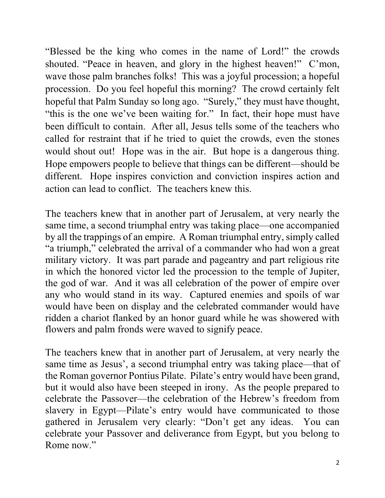"Blessed be the king who comes in the name of Lord!" the crowds shouted. "Peace in heaven, and glory in the highest heaven!" C'mon, wave those palm branches folks! This was a joyful procession; a hopeful procession. Do you feel hopeful this morning? The crowd certainly felt hopeful that Palm Sunday so long ago. "Surely," they must have thought, "this is the one we've been waiting for." In fact, their hope must have been difficult to contain. After all, Jesus tells some of the teachers who called for restraint that if he tried to quiet the crowds, even the stones would shout out! Hope was in the air. But hope is a dangerous thing. Hope empowers people to believe that things can be different—should be different. Hope inspires conviction and conviction inspires action and action can lead to conflict. The teachers knew this.

The teachers knew that in another part of Jerusalem, at very nearly the same time, a second triumphal entry was taking place—one accompanied by all the trappings of an empire. A Roman triumphal entry, simply called "a triumph," celebrated the arrival of a commander who had won a great military victory. It was part parade and pageantry and part religious rite in which the honored victor led the procession to the temple of Jupiter, the god of war. And it was all celebration of the power of empire over any who would stand in its way. Captured enemies and spoils of war would have been on display and the celebrated commander would have ridden a chariot flanked by an honor guard while he was showered with flowers and palm fronds were waved to signify peace.

The teachers knew that in another part of Jerusalem, at very nearly the same time as Jesus', a second triumphal entry was taking place—that of the Roman governor Pontius Pilate. Pilate's entry would have been grand, but it would also have been steeped in irony. As the people prepared to celebrate the Passover—the celebration of the Hebrew's freedom from slavery in Egypt—Pilate's entry would have communicated to those gathered in Jerusalem very clearly: "Don't get any ideas. You can celebrate your Passover and deliverance from Egypt, but you belong to Rome now."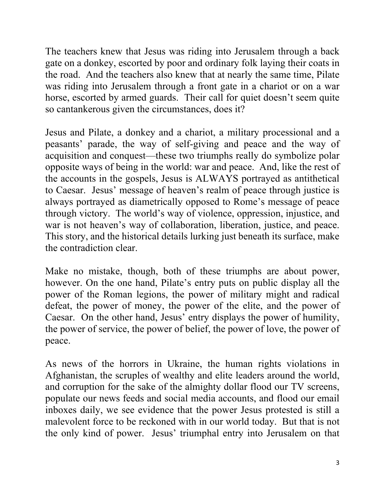The teachers knew that Jesus was riding into Jerusalem through a back gate on a donkey, escorted by poor and ordinary folk laying their coats in the road. And the teachers also knew that at nearly the same time, Pilate was riding into Jerusalem through a front gate in a chariot or on a war horse, escorted by armed guards. Their call for quiet doesn't seem quite so cantankerous given the circumstances, does it?

Jesus and Pilate, a donkey and a chariot, a military processional and a peasants' parade, the way of self-giving and peace and the way of acquisition and conquest—these two triumphs really do symbolize polar opposite ways of being in the world: war and peace. And, like the rest of the accounts in the gospels, Jesus is ALWAYS portrayed as antithetical to Caesar. Jesus' message of heaven's realm of peace through justice is always portrayed as diametrically opposed to Rome's message of peace through victory. The world's way of violence, oppression, injustice, and war is not heaven's way of collaboration, liberation, justice, and peace. This story, and the historical details lurking just beneath its surface, make the contradiction clear.

Make no mistake, though, both of these triumphs are about power, however. On the one hand, Pilate's entry puts on public display all the power of the Roman legions, the power of military might and radical defeat, the power of money, the power of the elite, and the power of Caesar. On the other hand, Jesus' entry displays the power of humility, the power of service, the power of belief, the power of love, the power of peace.

As news of the horrors in Ukraine, the human rights violations in Afghanistan, the scruples of wealthy and elite leaders around the world, and corruption for the sake of the almighty dollar flood our TV screens, populate our news feeds and social media accounts, and flood our email inboxes daily, we see evidence that the power Jesus protested is still a malevolent force to be reckoned with in our world today. But that is not the only kind of power. Jesus' triumphal entry into Jerusalem on that